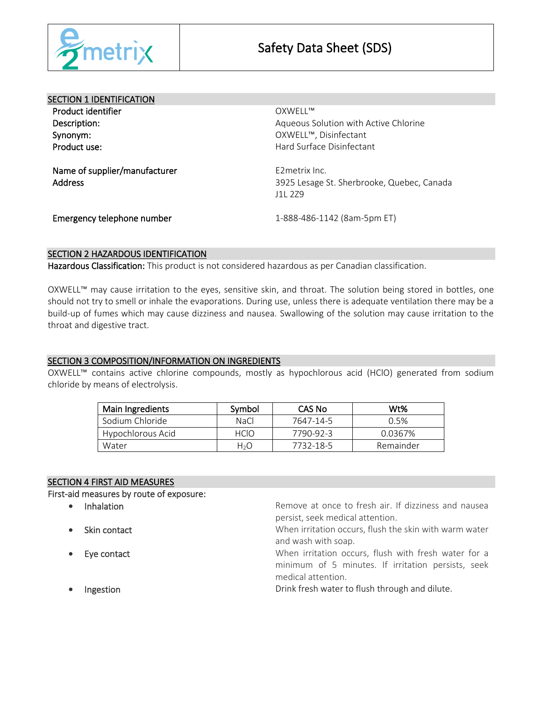

| <b>SECTION 1 IDENTIFICATION</b>                 |                                                                         |  |
|-------------------------------------------------|-------------------------------------------------------------------------|--|
| Product identifier                              | OXWFII™                                                                 |  |
| Description:                                    | Aqueous Solution with Active Chlorine                                   |  |
| Synonym:                                        | OXWELL™, Disinfectant                                                   |  |
| Product use:                                    | Hard Surface Disinfectant                                               |  |
| Name of supplier/manufacturer<br><b>Address</b> | E2metrix Inc.<br>3925 Lesage St. Sherbrooke, Quebec, Canada<br>111, 279 |  |
| Emergency telephone number                      | 1-888-486-1142 (8am-5pm ET)                                             |  |

# SECTION 2 HAZARDOUS IDENTIFICATION

Hazardous Classification: This product is not considered hazardous as per Canadian classification.

OXWELL™ may cause irritation to the eyes, sensitive skin, and throat. The solution being stored in bottles, one should not try to smell or inhale the evaporations. During use, unless there is adequate ventilation there may be a build-up of fumes which may cause dizziness and nausea. Swallowing of the solution may cause irritation to the throat and digestive tract.

## SECTION 3 COMPOSITION/INFORMATION ON INGREDIENTS

OXWELL™ contains active chlorine compounds, mostly as hypochlorous acid (HClO) generated from sodium chloride by means of electrolysis.

| Main Ingredients  | Symbol      | CAS No    | W <sub>t</sub> % |
|-------------------|-------------|-----------|------------------|
| Sodium Chloride   | <b>NaCl</b> | 7647-14-5 | 0.5%             |
| Hypochlorous Acid | <b>HCIO</b> | 7790-92-3 | 0.0367%          |
| Water             | H2O         | 7732-18-5 | Remainder        |

## SECTION 4 FIRST AID MEASURES

First-aid measures by route of exposure:

- 
- 
- 
- 

• Inhalation **Remove at once to fresh air.** If dizziness and nausea persist, seek medical attention.

• Skin contact **When irritation occurs**, flush the skin with warm water and wash with soap.

**Eye contact Exercise 20 TE SECUTE:** When irritation occurs, flush with fresh water for a minimum of 5 minutes. If irritation persists, seek medical attention.

Ingestion **Internal and Trink fresh** water to flush through and dilute.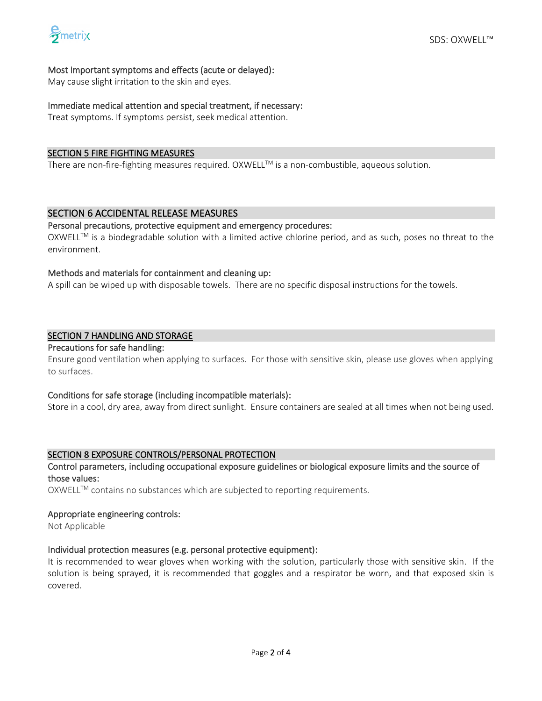## Most important symptoms and effects (acute or delayed):

May cause slight irritation to the skin and eyes.

## Immediate medical attention and special treatment, if necessary:

Treat symptoms. If symptoms persist, seek medical attention.

## SECTION 5 FIRE FIGHTING MEASURES

There are non-fire-fighting measures required. OXWELL™ is a non-combustible, aqueous solution.

## SECTION 6 ACCIDENTAL RELEASE MEASURES

## Personal precautions, protective equipment and emergency procedures:

 $OXWELL^{TM}$  is a biodegradable solution with a limited active chlorine period, and as such, poses no threat to the environment.

## Methods and materials for containment and cleaning up:

A spill can be wiped up with disposable towels. There are no specific disposal instructions for the towels.

## SECTION 7 HANDLING AND STORAGE

#### Precautions for safe handling:

Ensure good ventilation when applying to surfaces. For those with sensitive skin, please use gloves when applying to surfaces.

## Conditions for safe storage (including incompatible materials):

Store in a cool, dry area, away from direct sunlight. Ensure containers are sealed at all times when not being used.

## SECTION 8 EXPOSURE CONTROLS/PERSONAL PROTECTION

## Control parameters, including occupational exposure guidelines or biological exposure limits and the source of those values:

OXWELL™ contains no substances which are subjected to reporting requirements.

#### Appropriate engineering controls:

Not Applicable

## Individual protection measures (e.g. personal protective equipment):

It is recommended to wear gloves when working with the solution, particularly those with sensitive skin. If the solution is being sprayed, it is recommended that goggles and a respirator be worn, and that exposed skin is covered.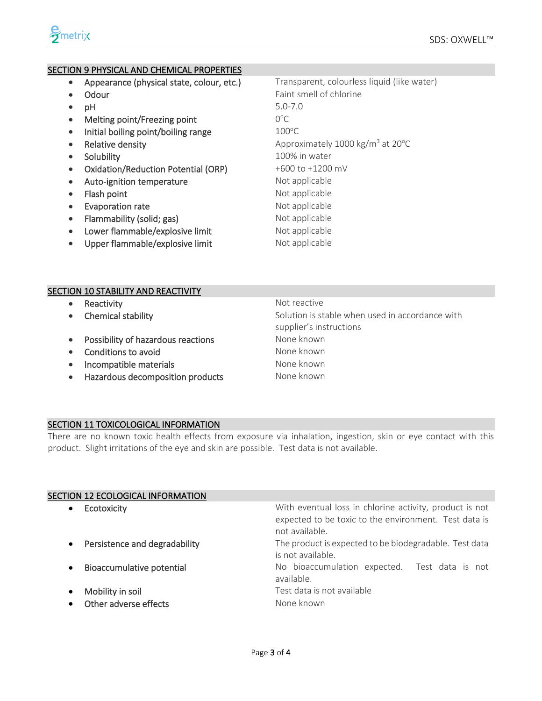## SECTION 9 PHYSICAL AND CHEMICAL PROPERTIES

- Appearance (physical state, colour, etc.) Transparent, colourless liquid (like water)
- 
- 
- $\bullet$  Melting point/Freezing point
- Initial boiling point/boiling range  $100^{\circ}$ C
- 
- 
- Oxidation/Reduction Potential (ORP) +600 to +1200 mV
- Auto-ignition temperature Mot applicable
- Flash point and the number of the Not applicable
- Evaporation rate **Not applicable**
- Flammability (solid; gas) Not applicable
- Lower flammable/explosive limit Not applicable
- Upper flammable/explosive limit Not applicable

• Odour Faint smell of chlorine • pH 5.0-7.0  $O^{\circ}C$ • Relative density **Approximately 1000 kg/m<sup>3</sup> at 20<sup>o</sup>C** • Solubility 100% in water

## SECTION 10 STABILITY AND REACTIVITY

- **Reactivity CONSERVING INSTRUCTE REACTIVE REACTIVE** • Chemical stability **Solution** is stable when used in accordance with supplier's instructions • Possibility of hazardous reactions **None known** • Conditions to avoid None known • Incompatible materials **Exercise Service Contract Contract Contract Contract Contract Contract Contract Contract Contract Contract Contract Contract Contract Contract Contract Contract Contract Contract Contract Contract**
- Hazardous decomposition products Mone known

# SECTION 11 TOXICOLOGICAL INFORMATION

There are no known toxic health effects from exposure via inhalation, ingestion, skin or eye contact with this product. Slight irritations of the eye and skin are possible. Test data is not available.

not available.

is not available.

available.

# SECTION 12 ECOLOGICAL INFORMATION

- Ecotoxicity With eventual loss in chlorine activity, product is not
- Persistence and degradability The product is expected to be biodegradable. Test data
- **Bioaccumulative potential** and No bioaccumulation expected. Test data is not
- **Mobility in soil** Mobility in soil
- Other adverse effects **Accord 2018** None known

expected to be toxic to the environment. Test data is